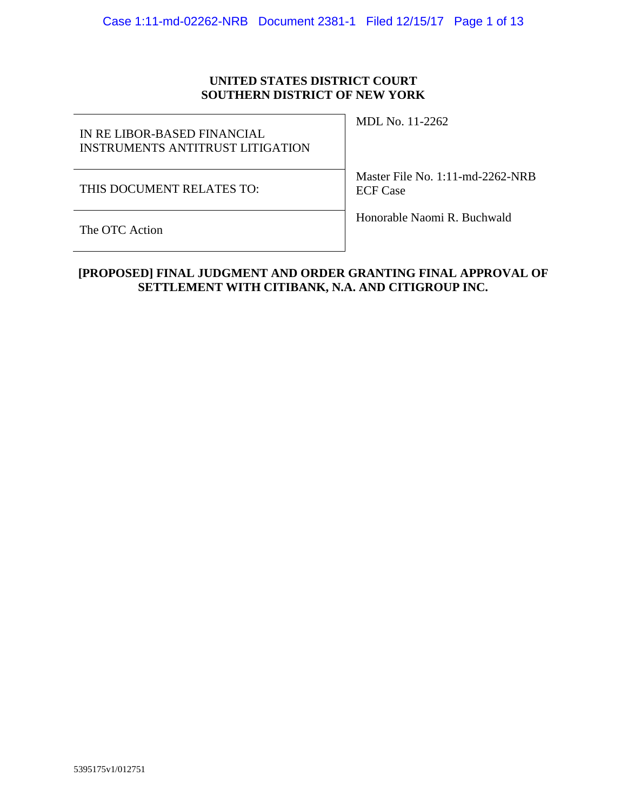# **UNITED STATES DISTRICT COURT SOUTHERN DISTRICT OF NEW YORK**

| IN RE LIBOR-BASED FINANCIAL<br>INSTRUMENTS ANTITRUST LITIGATION | MDL No. 11-2262                                     |
|-----------------------------------------------------------------|-----------------------------------------------------|
| THIS DOCUMENT RELATES TO:                                       | Master File No. 1:11-md-2262-NRB<br><b>ECF</b> Case |
| The OTC Action                                                  | Honorable Naomi R. Buchwald                         |

# **[PROPOSED] FINAL JUDGMENT AND ORDER GRANTING FINAL APPROVAL OF SETTLEMENT WITH CITIBANK, N.A. AND CITIGROUP INC.**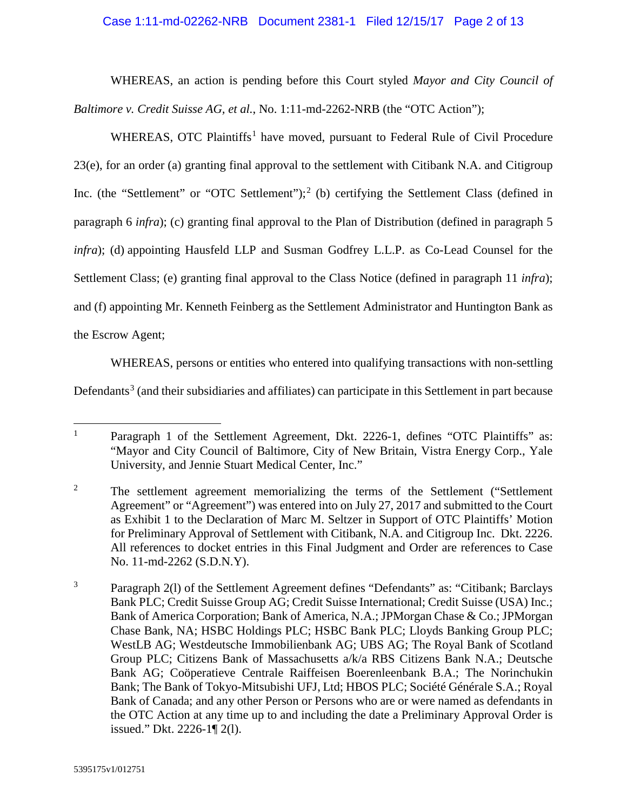#### Case 1:11-md-02262-NRB Document 2381-1 Filed 12/15/17 Page 2 of 13

WHEREAS, an action is pending before this Court styled *Mayor and City Council of Baltimore v. Credit Suisse AG, et al.*, No. 1:11-md-2262-NRB (the "OTC Action");

WHEREAS, OTC Plaintiffs<sup>[1](#page-1-0)</sup> have moved, pursuant to Federal Rule of Civil Procedure 23(e), for an order (a) granting final approval to the settlement with Citibank N.A. and Citigroup Inc. (the "Settlement" or "OTC Settlement");<sup>[2](#page-1-1)</sup> (b) certifying the Settlement Class (defined in paragraph 6 *infra*); (c) granting final approval to the Plan of Distribution (defined in paragraph 5 *infra*); (d) appointing Hausfeld LLP and Susman Godfrey L.L.P. as Co-Lead Counsel for the Settlement Class; (e) granting final approval to the Class Notice (defined in paragraph 11 *infra*); and (f) appointing Mr. Kenneth Feinberg as the Settlement Administrator and Huntington Bank as the Escrow Agent;

WHEREAS, persons or entities who entered into qualifying transactions with non-settling

Defendants<sup>[3](#page-1-2)</sup> (and their subsidiaries and affiliates) can participate in this Settlement in part because

<span id="page-1-0"></span><sup>&</sup>lt;sup>1</sup> Paragraph 1 of the Settlement Agreement, Dkt. 2226-1, defines "OTC Plaintiffs" as: "Mayor and City Council of Baltimore, City of New Britain, Vistra Energy Corp., Yale University, and Jennie Stuart Medical Center, Inc."

<span id="page-1-1"></span><sup>&</sup>lt;sup>2</sup> The settlement agreement memorializing the terms of the Settlement ("Settlement" Agreement" or "Agreement") was entered into on July 27, 2017 and submitted to the Court as Exhibit 1 to the Declaration of Marc M. Seltzer in Support of OTC Plaintiffs' Motion for Preliminary Approval of Settlement with Citibank, N.A. and Citigroup Inc. Dkt. 2226. All references to docket entries in this Final Judgment and Order are references to Case No. 11-md-2262 (S.D.N.Y).

<span id="page-1-2"></span><sup>&</sup>lt;sup>3</sup> Paragraph 2(1) of the Settlement Agreement defines "Defendants" as: "Citibank; Barclays Bank PLC; Credit Suisse Group AG; Credit Suisse International; Credit Suisse (USA) Inc.; Bank of America Corporation; Bank of America, N.A.; JPMorgan Chase & Co.; JPMorgan Chase Bank, NA; HSBC Holdings PLC; HSBC Bank PLC; Lloyds Banking Group PLC; WestLB AG; Westdeutsche Immobilienbank AG; UBS AG; The Royal Bank of Scotland Group PLC; Citizens Bank of Massachusetts a/k/a RBS Citizens Bank N.A.; Deutsche Bank AG; Coöperatieve Centrale Raiffeisen Boerenleenbank B.A.; The Norinchukin Bank; The Bank of Tokyo-Mitsubishi UFJ, Ltd; HBOS PLC; Société Générale S.A.; Royal Bank of Canada; and any other Person or Persons who are or were named as defendants in the OTC Action at any time up to and including the date a Preliminary Approval Order is issued." Dkt. 2226-1¶ 2(l).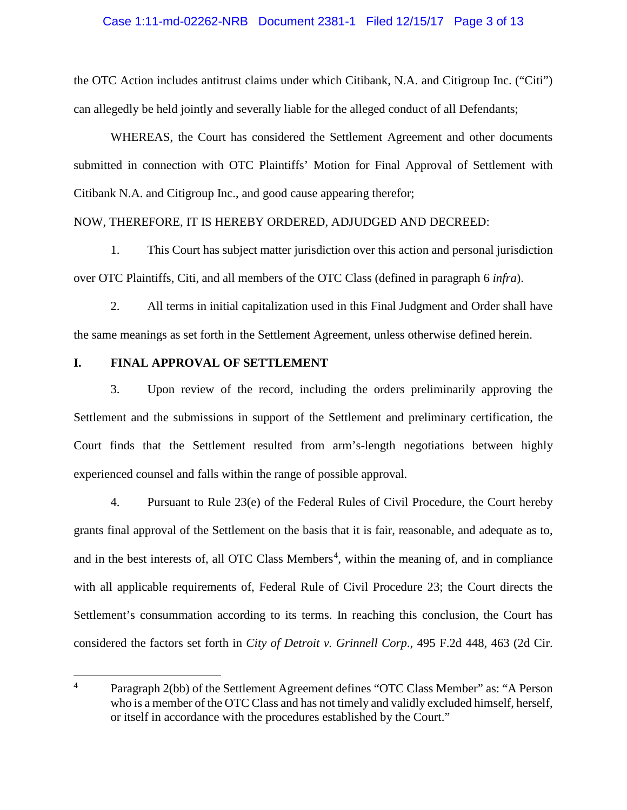## Case 1:11-md-02262-NRB Document 2381-1 Filed 12/15/17 Page 3 of 13

the OTC Action includes antitrust claims under which Citibank, N.A. and Citigroup Inc. ("Citi") can allegedly be held jointly and severally liable for the alleged conduct of all Defendants;

WHEREAS, the Court has considered the Settlement Agreement and other documents submitted in connection with OTC Plaintiffs' Motion for Final Approval of Settlement with Citibank N.A. and Citigroup Inc., and good cause appearing therefor;

#### NOW, THEREFORE, IT IS HEREBY ORDERED, ADJUDGED AND DECREED:

1. This Court has subject matter jurisdiction over this action and personal jurisdiction over OTC Plaintiffs, Citi, and all members of the OTC Class (defined in paragraph 6 *infra*).

2. All terms in initial capitalization used in this Final Judgment and Order shall have the same meanings as set forth in the Settlement Agreement, unless otherwise defined herein.

#### **I. FINAL APPROVAL OF SETTLEMENT**

3. Upon review of the record, including the orders preliminarily approving the Settlement and the submissions in support of the Settlement and preliminary certification, the Court finds that the Settlement resulted from arm's-length negotiations between highly experienced counsel and falls within the range of possible approval.

4. Pursuant to Rule 23(e) of the Federal Rules of Civil Procedure, the Court hereby grants final approval of the Settlement on the basis that it is fair, reasonable, and adequate as to, and in the best interests of, all OTC Class Members<sup>[4](#page-2-0)</sup>, within the meaning of, and in compliance with all applicable requirements of, Federal Rule of Civil Procedure 23; the Court directs the Settlement's consummation according to its terms. In reaching this conclusion, the Court has considered the factors set forth in *City of Detroit v. Grinnell Corp*., 495 F.2d 448, 463 (2d Cir.

<span id="page-2-0"></span><sup>&</sup>lt;sup>4</sup> Paragraph 2(bb) of the Settlement Agreement defines "OTC Class Member" as: "A Person who is a member of the OTC Class and has not timely and validly excluded himself, herself, or itself in accordance with the procedures established by the Court."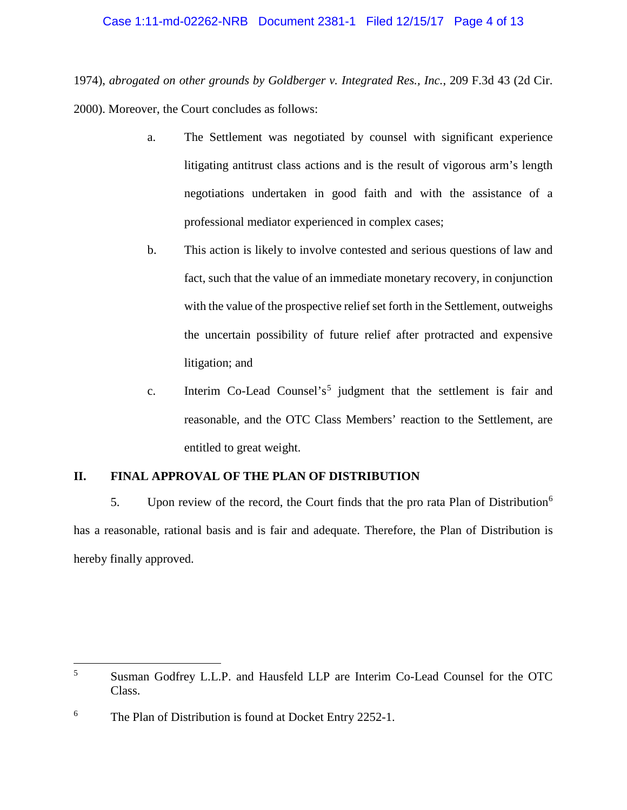1974), *abrogated on other grounds by Goldberger v. Integrated Res., Inc.*, 209 F.3d 43 (2d Cir. 2000). Moreover, the Court concludes as follows:

- a. The Settlement was negotiated by counsel with significant experience litigating antitrust class actions and is the result of vigorous arm's length negotiations undertaken in good faith and with the assistance of a professional mediator experienced in complex cases;
- b. This action is likely to involve contested and serious questions of law and fact, such that the value of an immediate monetary recovery, in conjunction with the value of the prospective relief set forth in the Settlement, outweighs the uncertain possibility of future relief after protracted and expensive litigation; and
- c. Interim Co-Lead Counsel's<sup>[5](#page-3-0)</sup> judgment that the settlement is fair and reasonable, and the OTC Class Members' reaction to the Settlement, are entitled to great weight.

# **II. FINAL APPROVAL OF THE PLAN OF DISTRIBUTION**

5. Upon review of the record, the Court finds that the pro rata Plan of Distribution<sup>[6](#page-3-1)</sup> has a reasonable, rational basis and is fair and adequate. Therefore, the Plan of Distribution is hereby finally approved.

<span id="page-3-0"></span> <sup>5</sup> Susman Godfrey L.L.P. and Hausfeld LLP are Interim Co-Lead Counsel for the OTC Class.

<span id="page-3-1"></span><sup>&</sup>lt;sup>6</sup> The Plan of Distribution is found at Docket Entry 2252-1.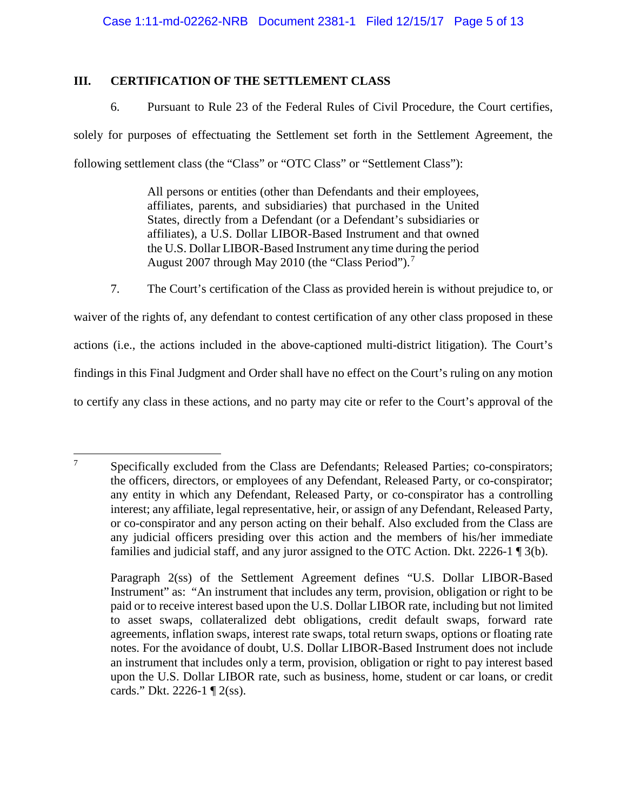## **III. CERTIFICATION OF THE SETTLEMENT CLASS**

6. Pursuant to Rule 23 of the Federal Rules of Civil Procedure, the Court certifies, solely for purposes of effectuating the Settlement set forth in the Settlement Agreement, the following settlement class (the "Class" or "OTC Class" or "Settlement Class"):

> All persons or entities (other than Defendants and their employees, affiliates, parents, and subsidiaries) that purchased in the United States, directly from a Defendant (or a Defendant's subsidiaries or affiliates), a U.S. Dollar LIBOR-Based Instrument and that owned the U.S. Dollar LIBOR-Based Instrument any time during the period August 200[7](#page-4-0) through May 2010 (the "Class Period").<sup>7</sup>

7. The Court's certification of the Class as provided herein is without prejudice to, or waiver of the rights of, any defendant to contest certification of any other class proposed in these actions (i.e., the actions included in the above-captioned multi-district litigation). The Court's findings in this Final Judgment and Order shall have no effect on the Court's ruling on any motion to certify any class in these actions, and no party may cite or refer to the Court's approval of the

<span id="page-4-0"></span><sup>&</sup>lt;sup>7</sup> Specifically excluded from the Class are Defendants; Released Parties; co-conspirators; the officers, directors, or employees of any Defendant, Released Party, or co-conspirator; any entity in which any Defendant, Released Party, or co-conspirator has a controlling interest; any affiliate, legal representative, heir, or assign of any Defendant, Released Party, or co-conspirator and any person acting on their behalf. Also excluded from the Class are any judicial officers presiding over this action and the members of his/her immediate families and judicial staff, and any juror assigned to the OTC Action. Dkt. 2226-1 ¶ 3(b).

Paragraph 2(ss) of the Settlement Agreement defines "U.S. Dollar LIBOR-Based Instrument" as: "An instrument that includes any term, provision, obligation or right to be paid or to receive interest based upon the U.S. Dollar LIBOR rate, including but not limited to asset swaps, collateralized debt obligations, credit default swaps, forward rate agreements, inflation swaps, interest rate swaps, total return swaps, options or floating rate notes. For the avoidance of doubt, U.S. Dollar LIBOR-Based Instrument does not include an instrument that includes only a term, provision, obligation or right to pay interest based upon the U.S. Dollar LIBOR rate, such as business, home, student or car loans, or credit cards." Dkt. 2226-1 ¶ 2(ss).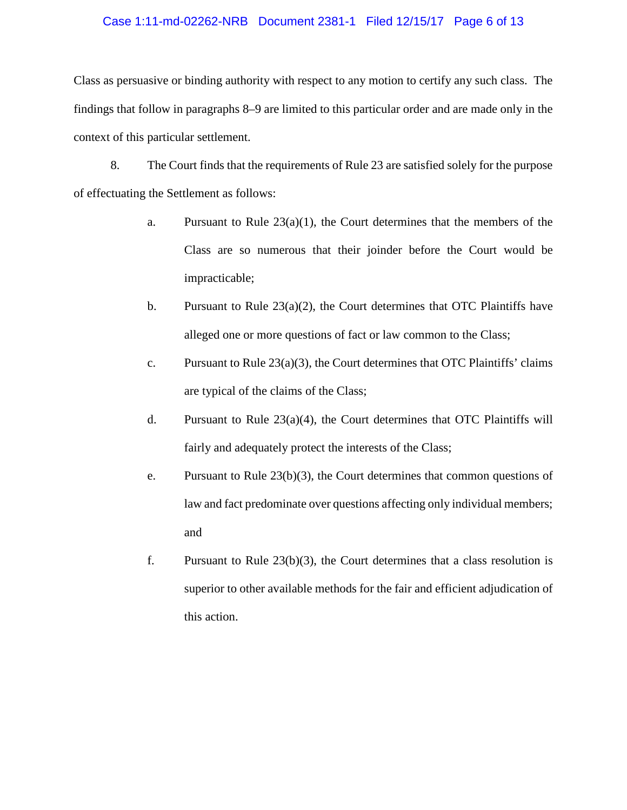#### Case 1:11-md-02262-NRB Document 2381-1 Filed 12/15/17 Page 6 of 13

Class as persuasive or binding authority with respect to any motion to certify any such class. The findings that follow in paragraphs 8–9 are limited to this particular order and are made only in the context of this particular settlement.

8. The Court finds that the requirements of Rule 23 are satisfied solely for the purpose of effectuating the Settlement as follows:

- a. Pursuant to Rule  $23(a)(1)$ , the Court determines that the members of the Class are so numerous that their joinder before the Court would be impracticable;
- b. Pursuant to Rule  $23(a)(2)$ , the Court determines that OTC Plaintiffs have alleged one or more questions of fact or law common to the Class;
- c. Pursuant to Rule  $23(a)(3)$ , the Court determines that OTC Plaintiffs' claims are typical of the claims of the Class;
- d. Pursuant to Rule  $23(a)(4)$ , the Court determines that OTC Plaintiffs will fairly and adequately protect the interests of the Class;
- e. Pursuant to Rule 23(b)(3), the Court determines that common questions of law and fact predominate over questions affecting only individual members; and
- f. Pursuant to Rule 23(b)(3), the Court determines that a class resolution is superior to other available methods for the fair and efficient adjudication of this action.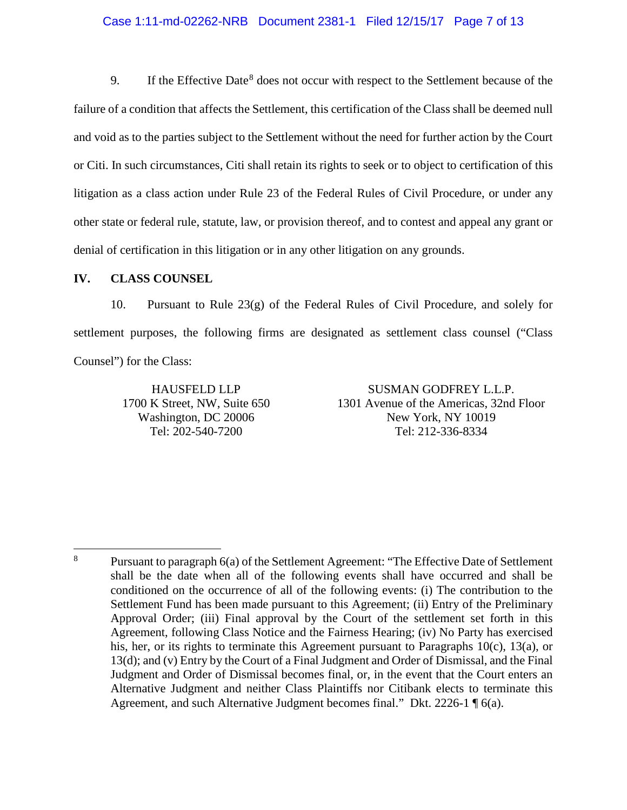# Case 1:11-md-02262-NRB Document 2381-1 Filed 12/15/17 Page 7 of 13

9. If the Effective Date<sup>[8](#page-6-0)</sup> does not occur with respect to the Settlement because of the failure of a condition that affects the Settlement, this certification of the Class shall be deemed null and void as to the parties subject to the Settlement without the need for further action by the Court or Citi. In such circumstances, Citi shall retain its rights to seek or to object to certification of this litigation as a class action under Rule 23 of the Federal Rules of Civil Procedure, or under any other state or federal rule, statute, law, or provision thereof, and to contest and appeal any grant or denial of certification in this litigation or in any other litigation on any grounds.

#### **IV. CLASS COUNSEL**

10. Pursuant to Rule 23(g) of the Federal Rules of Civil Procedure, and solely for settlement purposes, the following firms are designated as settlement class counsel ("Class Counsel") for the Class:

> HAUSFELD LLP 1700 K Street, NW, Suite 650 Washington, DC 20006 Tel: 202-540-7200

SUSMAN GODFREY L.L.P. 1301 Avenue of the Americas, 32nd Floor New York, NY 10019 Tel: 212-336-8334

<span id="page-6-0"></span><sup>&</sup>lt;sup>8</sup> Pursuant to paragraph 6(a) of the Settlement Agreement: "The Effective Date of Settlement shall be the date when all of the following events shall have occurred and shall be conditioned on the occurrence of all of the following events: (i) The contribution to the Settlement Fund has been made pursuant to this Agreement; (ii) Entry of the Preliminary Approval Order; (iii) Final approval by the Court of the settlement set forth in this Agreement, following Class Notice and the Fairness Hearing; (iv) No Party has exercised his, her, or its rights to terminate this Agreement pursuant to Paragraphs 10(c), 13(a), or 13(d); and (v) Entry by the Court of a Final Judgment and Order of Dismissal, and the Final Judgment and Order of Dismissal becomes final, or, in the event that the Court enters an Alternative Judgment and neither Class Plaintiffs nor Citibank elects to terminate this Agreement, and such Alternative Judgment becomes final." Dkt. 2226-1 ¶ 6(a).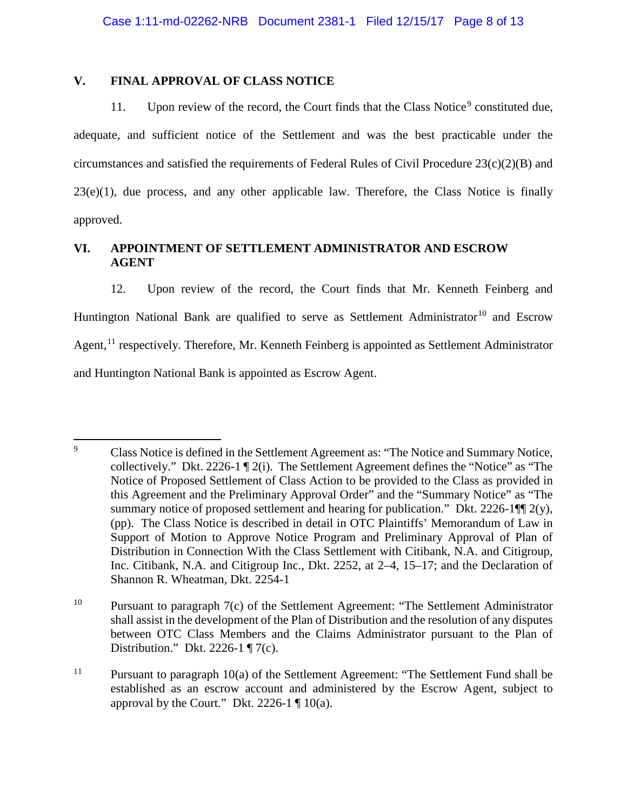## **V. FINAL APPROVAL OF CLASS NOTICE**

11. Upon review of the record, the Court finds that the Class Notice<sup>[9](#page-7-0)</sup> constituted due, adequate, and sufficient notice of the Settlement and was the best practicable under the circumstances and satisfied the requirements of Federal Rules of Civil Procedure 23(c)(2)(B) and  $23(e)(1)$ , due process, and any other applicable law. Therefore, the Class Notice is finally approved.

# **VI. APPOINTMENT OF SETTLEMENT ADMINISTRATOR AND ESCROW AGENT**

12. Upon review of the record, the Court finds that Mr. Kenneth Feinberg and Huntington National Bank are qualified to serve as Settlement Administrator<sup>[10](#page-7-1)</sup> and Escrow Agent,<sup>[11](#page-7-2)</sup> respectively. Therefore, Mr. Kenneth Feinberg is appointed as Settlement Administrator and Huntington National Bank is appointed as Escrow Agent.

<span id="page-7-0"></span><sup>&</sup>lt;sup>9</sup> Class Notice is defined in the Settlement Agreement as: "The Notice and Summary Notice, collectively." Dkt. 2226-1 ¶ 2(i). The Settlement Agreement defines the "Notice" as "The Notice of Proposed Settlement of Class Action to be provided to the Class as provided in this Agreement and the Preliminary Approval Order" and the "Summary Notice" as "The summary notice of proposed settlement and hearing for publication." Dkt. 2226-1 $\P$  $(2(y),$ (pp). The Class Notice is described in detail in OTC Plaintiffs' Memorandum of Law in Support of Motion to Approve Notice Program and Preliminary Approval of Plan of Distribution in Connection With the Class Settlement with Citibank, N.A. and Citigroup, Inc. Citibank, N.A. and Citigroup Inc., Dkt. 2252, at 2–4, 15–17; and the Declaration of Shannon R. Wheatman, Dkt. 2254-1

<span id="page-7-1"></span><sup>&</sup>lt;sup>10</sup> Pursuant to paragraph  $7(c)$  of the Settlement Agreement: "The Settlement Administrator" shall assist in the development of the Plan of Distribution and the resolution of any disputes between OTC Class Members and the Claims Administrator pursuant to the Plan of Distribution." Dkt. 2226-1 ¶ 7(c).

<span id="page-7-2"></span><sup>&</sup>lt;sup>11</sup> Pursuant to paragraph  $10(a)$  of the Settlement Agreement: "The Settlement Fund shall be established as an escrow account and administered by the Escrow Agent, subject to approval by the Court." Dkt. 2226-1  $\P$  10(a).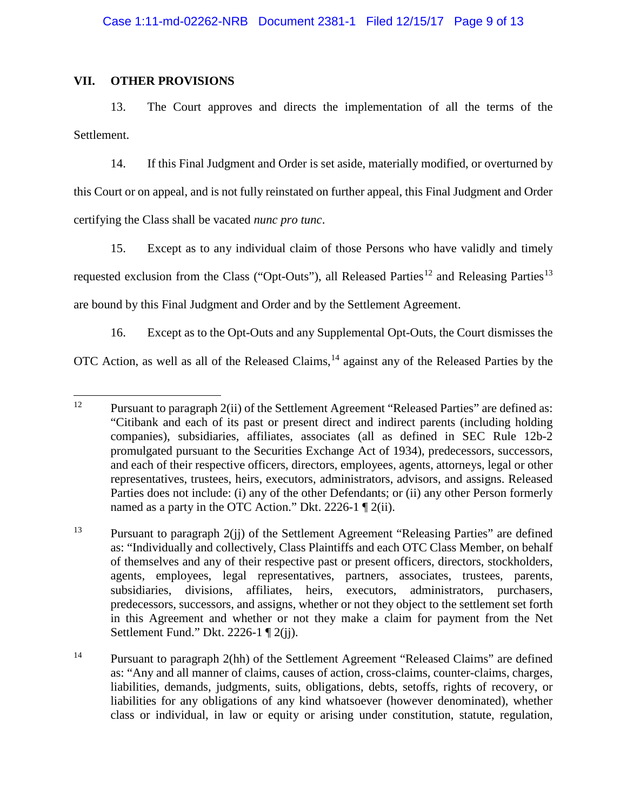### **VII. OTHER PROVISIONS**

13. The Court approves and directs the implementation of all the terms of the Settlement.

14. If this Final Judgment and Order is set aside, materially modified, or overturned by this Court or on appeal, and is not fully reinstated on further appeal, this Final Judgment and Order certifying the Class shall be vacated *nunc pro tunc*.

15. Except as to any individual claim of those Persons who have validly and timely requested exclusion from the Class ("Opt-Outs"), all Released Parties<sup>[12](#page-8-0)</sup> and Releasing Parties<sup>[13](#page-8-1)</sup> are bound by this Final Judgment and Order and by the Settlement Agreement.

16. Except as to the Opt-Outs and any Supplemental Opt-Outs, the Court dismisses the OTC Action, as well as all of the Released Claims,<sup>[14](#page-8-2)</sup> against any of the Released Parties by the

<span id="page-8-0"></span><sup>&</sup>lt;sup>12</sup> Pursuant to paragraph  $2(ii)$  of the Settlement Agreement "Released Parties" are defined as: "Citibank and each of its past or present direct and indirect parents (including holding companies), subsidiaries, affiliates, associates (all as defined in SEC Rule 12b-2 promulgated pursuant to the Securities Exchange Act of 1934), predecessors, successors, and each of their respective officers, directors, employees, agents, attorneys, legal or other representatives, trustees, heirs, executors, administrators, advisors, and assigns. Released Parties does not include: (i) any of the other Defendants; or (ii) any other Person formerly named as a party in the OTC Action." Dkt. 2226-1 ¶ 2(ii).

<span id="page-8-1"></span><sup>13</sup> Pursuant to paragraph 2(jj) of the Settlement Agreement "Releasing Parties" are defined as: "Individually and collectively, Class Plaintiffs and each OTC Class Member, on behalf of themselves and any of their respective past or present officers, directors, stockholders, agents, employees, legal representatives, partners, associates, trustees, parents, subsidiaries, divisions, affiliates, heirs, executors, administrators, purchasers, predecessors, successors, and assigns, whether or not they object to the settlement set forth in this Agreement and whether or not they make a claim for payment from the Net Settlement Fund." Dkt. 2226-1 ¶ 2(jj).

<span id="page-8-2"></span><sup>14</sup> Pursuant to paragraph 2(hh) of the Settlement Agreement "Released Claims" are defined as: "Any and all manner of claims, causes of action, cross-claims, counter-claims, charges, liabilities, demands, judgments, suits, obligations, debts, setoffs, rights of recovery, or liabilities for any obligations of any kind whatsoever (however denominated), whether class or individual, in law or equity or arising under constitution, statute, regulation,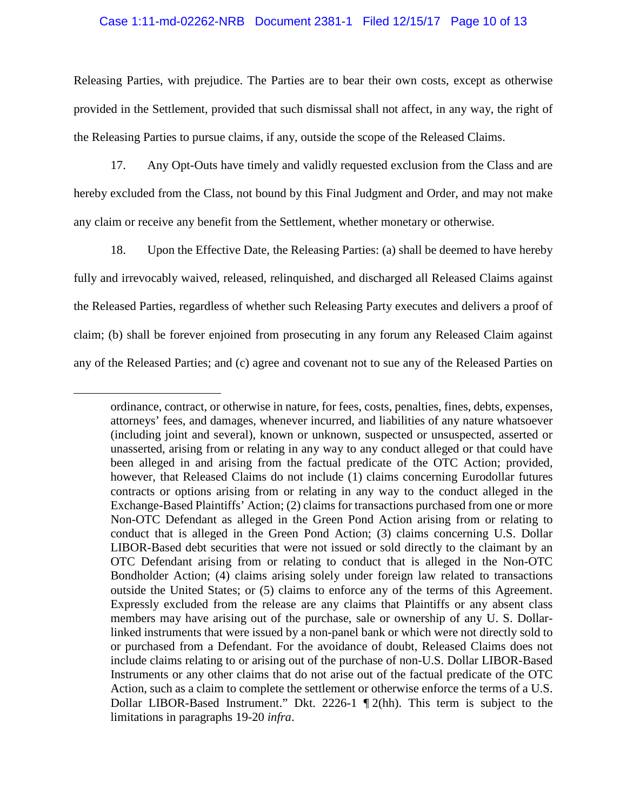#### Case 1:11-md-02262-NRB Document 2381-1 Filed 12/15/17 Page 10 of 13

Releasing Parties, with prejudice. The Parties are to bear their own costs, except as otherwise provided in the Settlement, provided that such dismissal shall not affect, in any way, the right of the Releasing Parties to pursue claims, if any, outside the scope of the Released Claims.

17. Any Opt-Outs have timely and validly requested exclusion from the Class and are hereby excluded from the Class, not bound by this Final Judgment and Order, and may not make any claim or receive any benefit from the Settlement, whether monetary or otherwise.

18. Upon the Effective Date, the Releasing Parties: (a) shall be deemed to have hereby fully and irrevocably waived, released, relinquished, and discharged all Released Claims against the Released Parties, regardless of whether such Releasing Party executes and delivers a proof of claim; (b) shall be forever enjoined from prosecuting in any forum any Released Claim against any of the Released Parties; and (c) agree and covenant not to sue any of the Released Parties on

 $\overline{a}$ 

ordinance, contract, or otherwise in nature, for fees, costs, penalties, fines, debts, expenses, attorneys' fees, and damages, whenever incurred, and liabilities of any nature whatsoever (including joint and several), known or unknown, suspected or unsuspected, asserted or unasserted, arising from or relating in any way to any conduct alleged or that could have been alleged in and arising from the factual predicate of the OTC Action; provided, however, that Released Claims do not include (1) claims concerning Eurodollar futures contracts or options arising from or relating in any way to the conduct alleged in the Exchange-Based Plaintiffs' Action; (2) claims for transactions purchased from one or more Non-OTC Defendant as alleged in the Green Pond Action arising from or relating to conduct that is alleged in the Green Pond Action; (3) claims concerning U.S. Dollar LIBOR-Based debt securities that were not issued or sold directly to the claimant by an OTC Defendant arising from or relating to conduct that is alleged in the Non-OTC Bondholder Action; (4) claims arising solely under foreign law related to transactions outside the United States; or (5) claims to enforce any of the terms of this Agreement. Expressly excluded from the release are any claims that Plaintiffs or any absent class members may have arising out of the purchase, sale or ownership of any U. S. Dollarlinked instruments that were issued by a non-panel bank or which were not directly sold to or purchased from a Defendant. For the avoidance of doubt, Released Claims does not include claims relating to or arising out of the purchase of non-U.S. Dollar LIBOR-Based Instruments or any other claims that do not arise out of the factual predicate of the OTC Action, such as a claim to complete the settlement or otherwise enforce the terms of a U.S. Dollar LIBOR-Based Instrument." Dkt. 2226-1 ¶ 2(hh). This term is subject to the limitations in paragraphs 19-20 *infra*.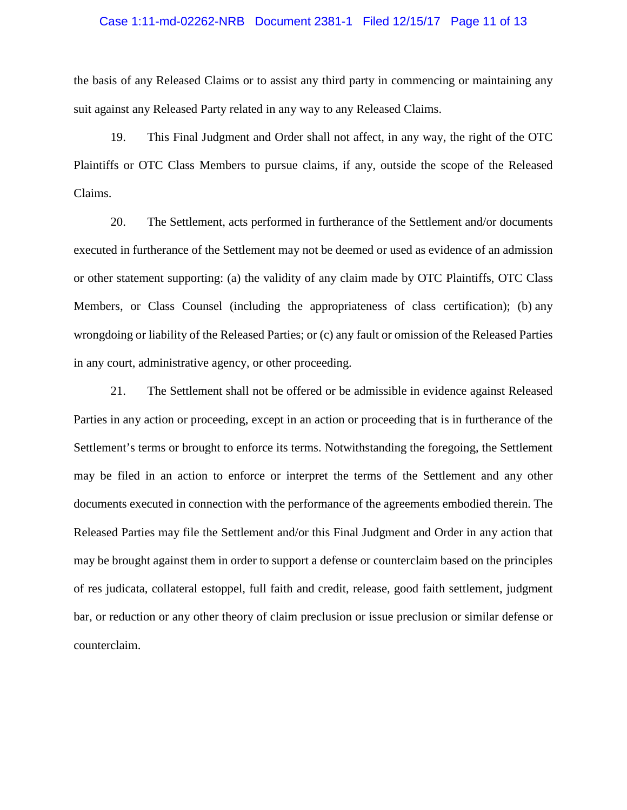## Case 1:11-md-02262-NRB Document 2381-1 Filed 12/15/17 Page 11 of 13

the basis of any Released Claims or to assist any third party in commencing or maintaining any suit against any Released Party related in any way to any Released Claims.

19. This Final Judgment and Order shall not affect, in any way, the right of the OTC Plaintiffs or OTC Class Members to pursue claims, if any, outside the scope of the Released Claims.

20. The Settlement, acts performed in furtherance of the Settlement and/or documents executed in furtherance of the Settlement may not be deemed or used as evidence of an admission or other statement supporting: (a) the validity of any claim made by OTC Plaintiffs, OTC Class Members, or Class Counsel (including the appropriateness of class certification); (b) any wrongdoing or liability of the Released Parties; or (c) any fault or omission of the Released Parties in any court, administrative agency, or other proceeding.

21. The Settlement shall not be offered or be admissible in evidence against Released Parties in any action or proceeding, except in an action or proceeding that is in furtherance of the Settlement's terms or brought to enforce its terms. Notwithstanding the foregoing, the Settlement may be filed in an action to enforce or interpret the terms of the Settlement and any other documents executed in connection with the performance of the agreements embodied therein. The Released Parties may file the Settlement and/or this Final Judgment and Order in any action that may be brought against them in order to support a defense or counterclaim based on the principles of res judicata, collateral estoppel, full faith and credit, release, good faith settlement, judgment bar, or reduction or any other theory of claim preclusion or issue preclusion or similar defense or counterclaim.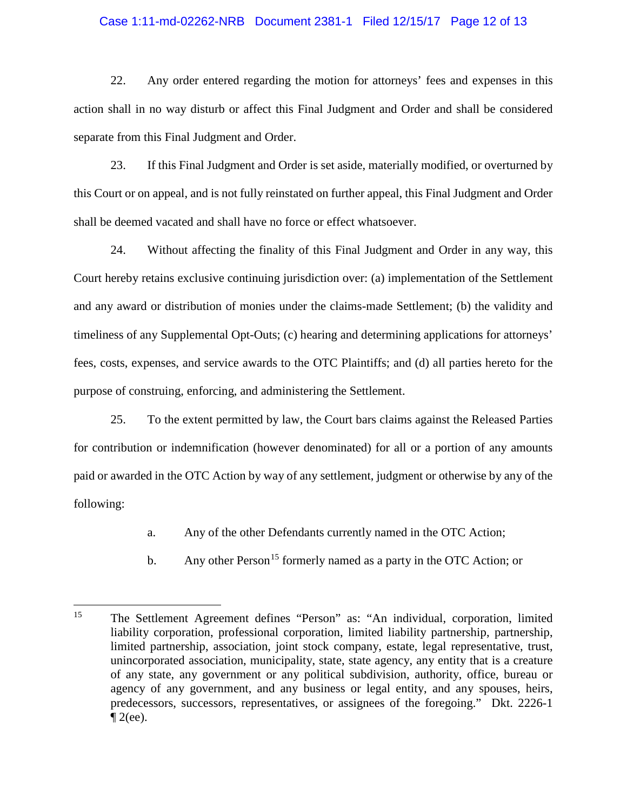#### Case 1:11-md-02262-NRB Document 2381-1 Filed 12/15/17 Page 12 of 13

22. Any order entered regarding the motion for attorneys' fees and expenses in this action shall in no way disturb or affect this Final Judgment and Order and shall be considered separate from this Final Judgment and Order.

23. If this Final Judgment and Order is set aside, materially modified, or overturned by this Court or on appeal, and is not fully reinstated on further appeal, this Final Judgment and Order shall be deemed vacated and shall have no force or effect whatsoever.

24. Without affecting the finality of this Final Judgment and Order in any way, this Court hereby retains exclusive continuing jurisdiction over: (a) implementation of the Settlement and any award or distribution of monies under the claims-made Settlement; (b) the validity and timeliness of any Supplemental Opt-Outs; (c) hearing and determining applications for attorneys' fees, costs, expenses, and service awards to the OTC Plaintiffs; and (d) all parties hereto for the purpose of construing, enforcing, and administering the Settlement.

25. To the extent permitted by law, the Court bars claims against the Released Parties for contribution or indemnification (however denominated) for all or a portion of any amounts paid or awarded in the OTC Action by way of any settlement, judgment or otherwise by any of the following:

- a. Any of the other Defendants currently named in the OTC Action;
- b. Any other Person<sup>[15](#page-11-0)</sup> formerly named as a party in the OTC Action; or

<span id="page-11-0"></span> <sup>15</sup> The Settlement Agreement defines "Person" as: "An individual, corporation, limited liability corporation, professional corporation, limited liability partnership, partnership, limited partnership, association, joint stock company, estate, legal representative, trust, unincorporated association, municipality, state, state agency, any entity that is a creature of any state, any government or any political subdivision, authority, office, bureau or agency of any government, and any business or legal entity, and any spouses, heirs, predecessors, successors, representatives, or assignees of the foregoing." Dkt. 2226-1  $\mathcal{I}$  2(ee).